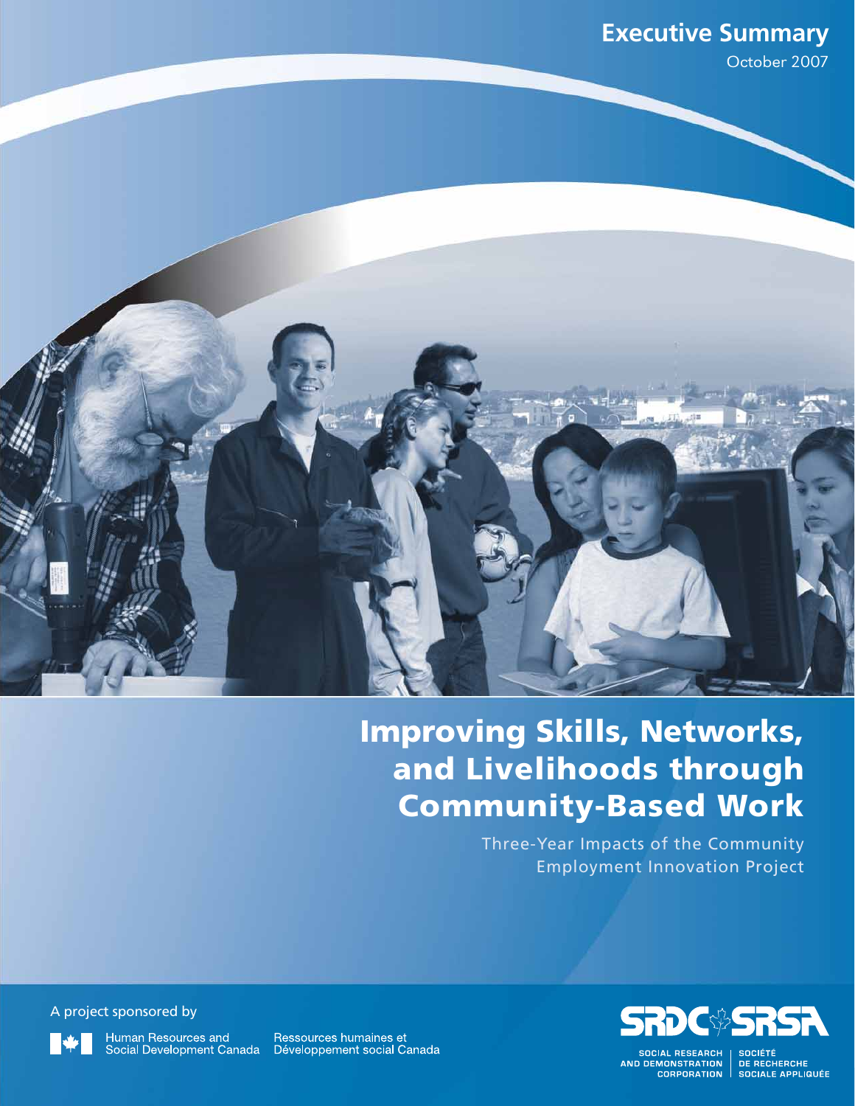### **Executive Summary**

October 2007



# **Improving Skills, Networks, and Livelihoods through Community-Based Work**

Three-Year Impacts of the Community Employment Innovation Project

A project sponsored by

Human Resources and<br>Social Development Canada

Ressources humaines et Développement social Canada



| SOCIAL RESEARCH<br>| AND DEMONSTRATION CORPORATION

**SOCIÉTÉ** DE RECHERCHE<br>SOCIALE APPLIQUÉE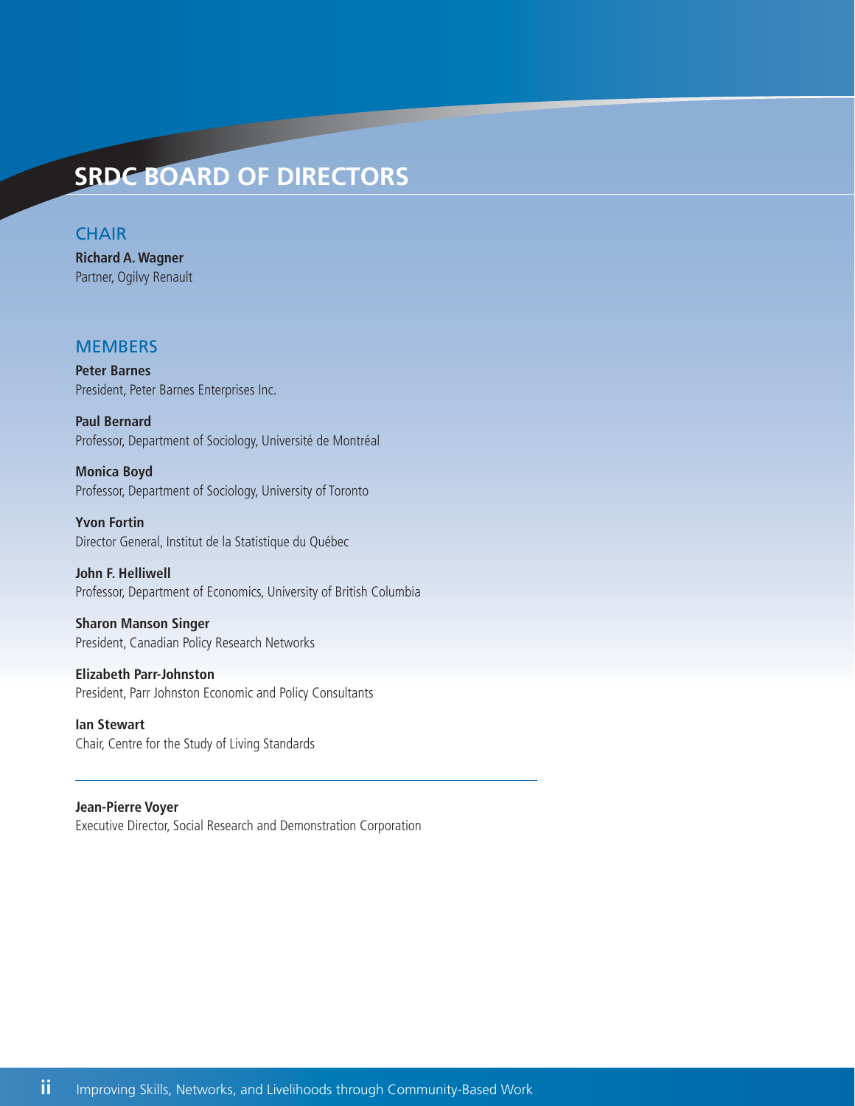## **SRDC BOARD OF DIRECTORS**

#### **CHAIR**

**Richard A. Wagner** Partner, Ogilvy Renault

#### **MEMBERS**

**Peter Barnes** President, Peter Barnes Enterprises Inc.

**Paul Bernard** Professor, Department of Sociology, Université de Montréal

**Monica Boyd** Professor, Department of Sociology, University of Toronto

**Yvon Fortin** Director General, Institut de la Statistique du Québec

**John F. Helliwell** Professor, Department of Economics, University of British Columbia

**Sharon Manson Singer** President, Canadian Policy Research Networks

**Elizabeth Parr-Johnston** President, Parr Johnston Economic and Policy Consultants

**Ian Stewart** Chair, Centre for the Study of Living Standards

#### **Jean-Pierre Voyer**

Executive Director, Social Research and Demonstration Corporation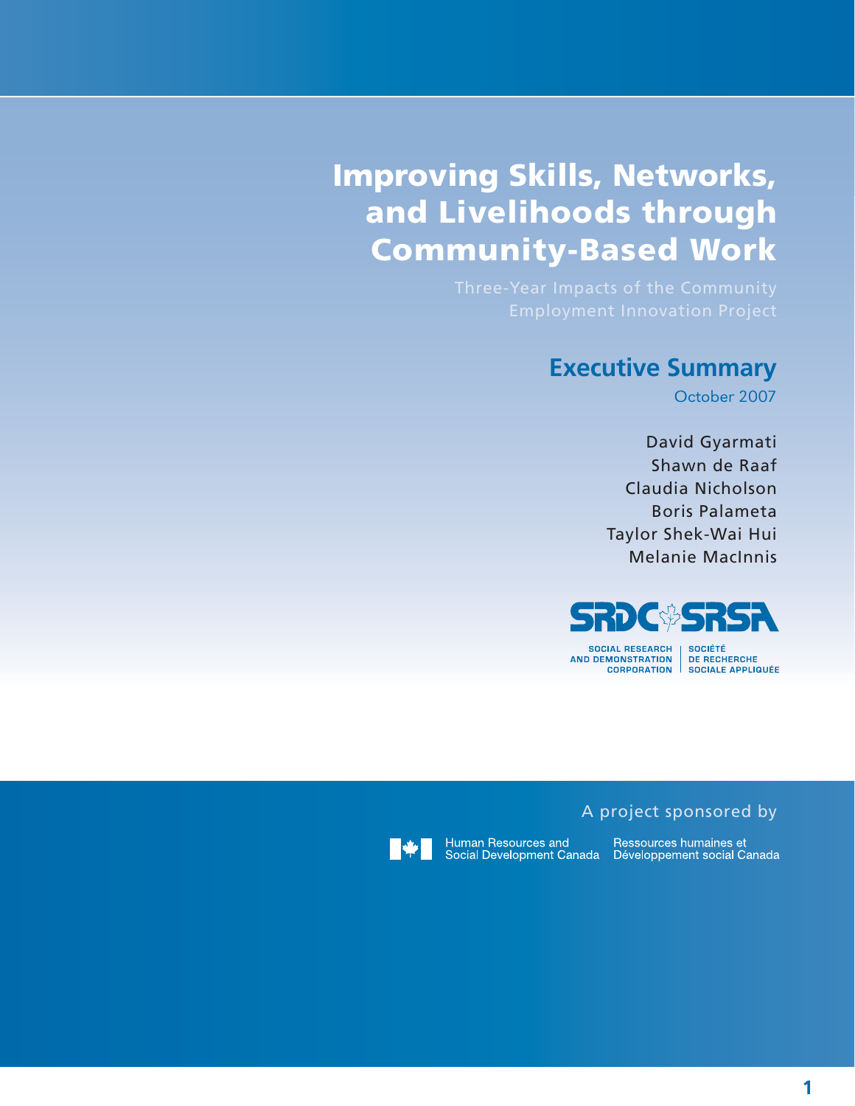# **Improving Skills, Networks, and Livelihoods through Community-Based Work**

## **Executive Summary**

October 2007

David Gyarmati Shawn de Raaf Claudia Nicholson Boris Palameta Taylor Shek-Wai Hui Melanie MacInnis



**SOCIAL RESEARCH AND DEMONSTRATION** 

**SOCIÉTÉ** DE RECHERCHE CORPORATION SOCIALE APPLIQUÉE





Human Resources and Social Development Canada Ressources humaines et Développement social Canada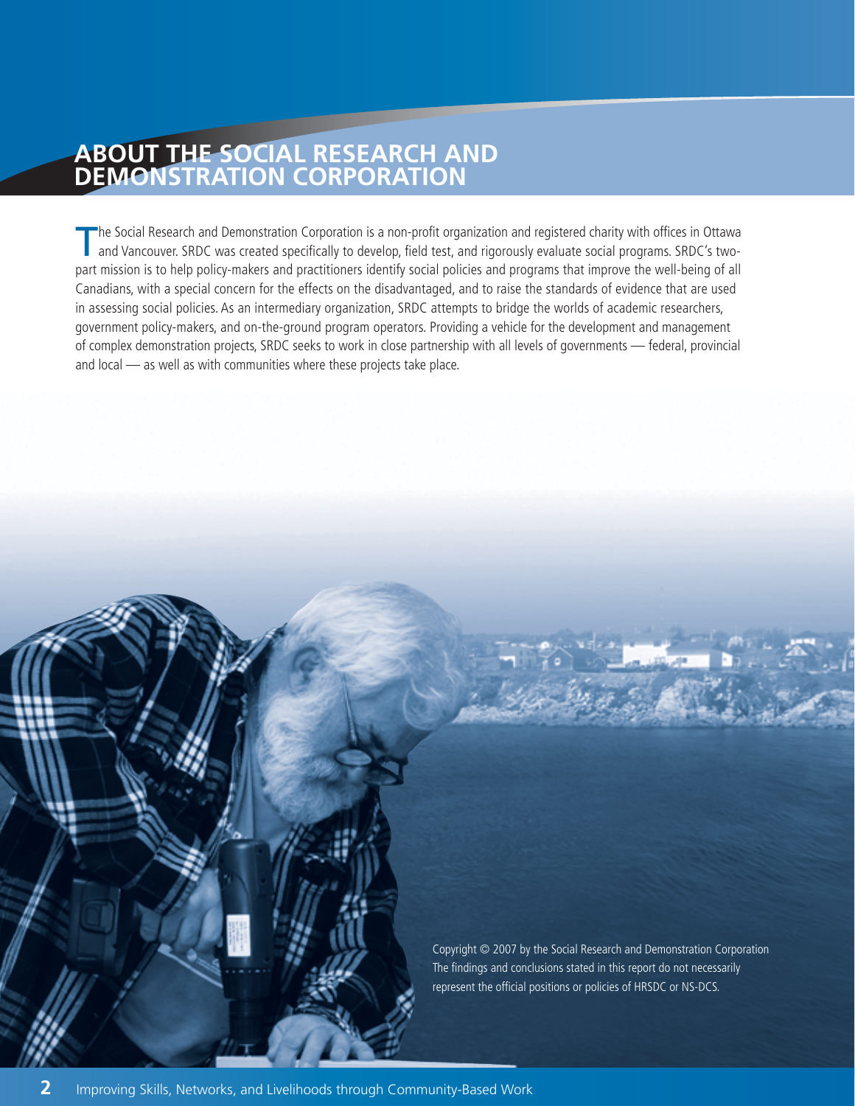### **ABOUT THE SOCIAL RESEARCH AND DEMONSTRATION CORPORATION**

The Social Research and Demonstration Corporation is a non-profit organization and registered charity with offices in Ottawa and Vancouver. SRDC was created specifically to develop, field test, and rigorously evaluate social programs. SRDC's twopart mission is to help policy-makers and practitioners identify social policies and programs that improve the well-being of all Canadians, with a special concern for the effects on the disadvantaged, and to raise the standards of evidence that are used in assessing social policies. As an intermediary organization, SRDC attempts to bridge the worlds of academic researchers, government policy-makers, and on-the-ground program operators. Providing a vehicle for the development and management of complex demonstration projects, SRDC seeks to work in close partnership with all levels of governments — federal, provincial and local — as well as with communities where these projects take place.

> Copyright © 2007 by the Social Research and Demonstration Corporation The findings and conclusions stated in this report do not necessarily represent the official positions or policies of HRSDC or NS-DCS.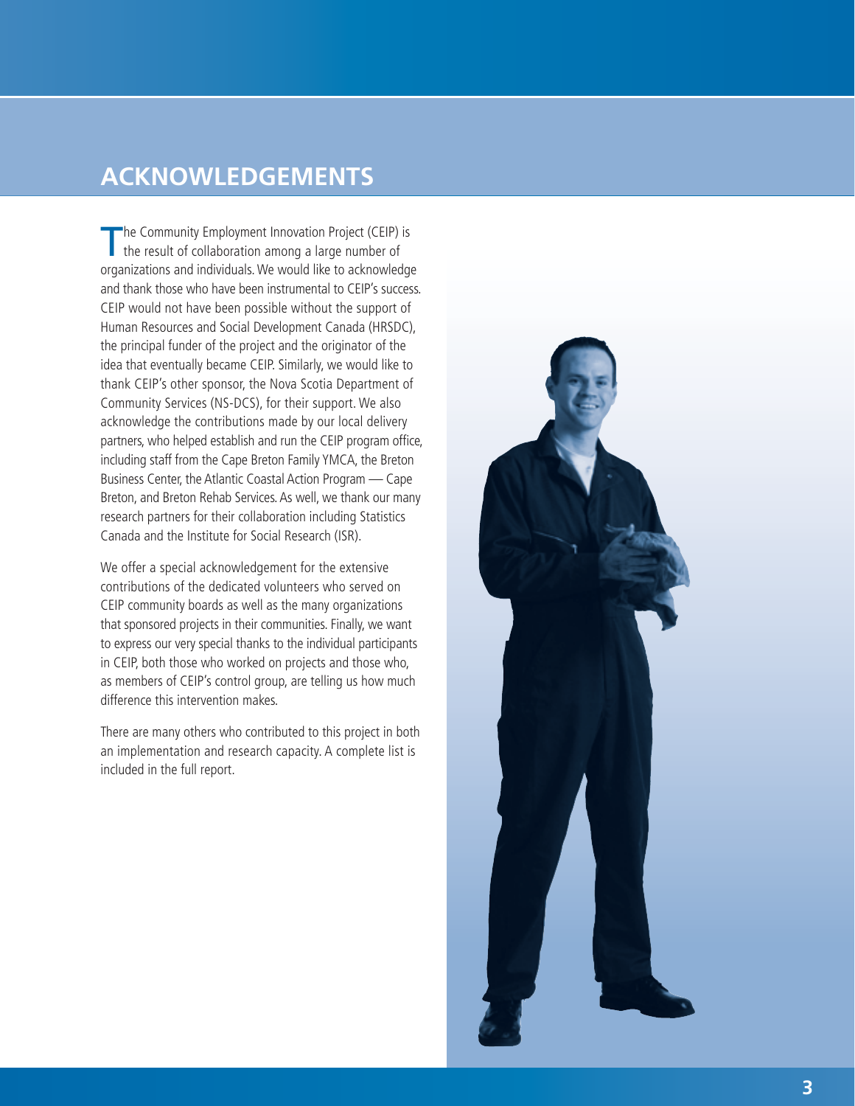### **ACKNOWLEDGEMENTS**

The Community Employment Innovation Project (CEIP) is the result of collaboration among a large number of organizations and individuals. We would like to acknowledge and thank those who have been instrumental to CEIP's success. CEIP would not have been possible without the support of Human Resources and Social Development Canada (HRSDC), the principal funder of the project and the originator of the idea that eventually became CEIP. Similarly, we would like to thank CEIP's other sponsor, the Nova Scotia Department of Community Services (NS-DCS), for their support. We also acknowledge the contributions made by our local delivery partners, who helped establish and run the CEIP program office, including staff from the Cape Breton Family YMCA, the Breton Business Center, the Atlantic Coastal Action Program — Cape Breton, and Breton Rehab Services. As well, we thank our many research partners for their collaboration including Statistics Canada and the Institute for Social Research (ISR).

We offer a special acknowledgement for the extensive contributions of the dedicated volunteers who served on CEIP community boards as well as the many organizations that sponsored projects in their communities. Finally, we want to express our very special thanks to the individual participants in CEIP, both those who worked on projects and those who, as members of CEIP's control group, are telling us how much difference this intervention makes.

There are many others who contributed to this project in both an implementation and research capacity. A complete list is included in the full report.

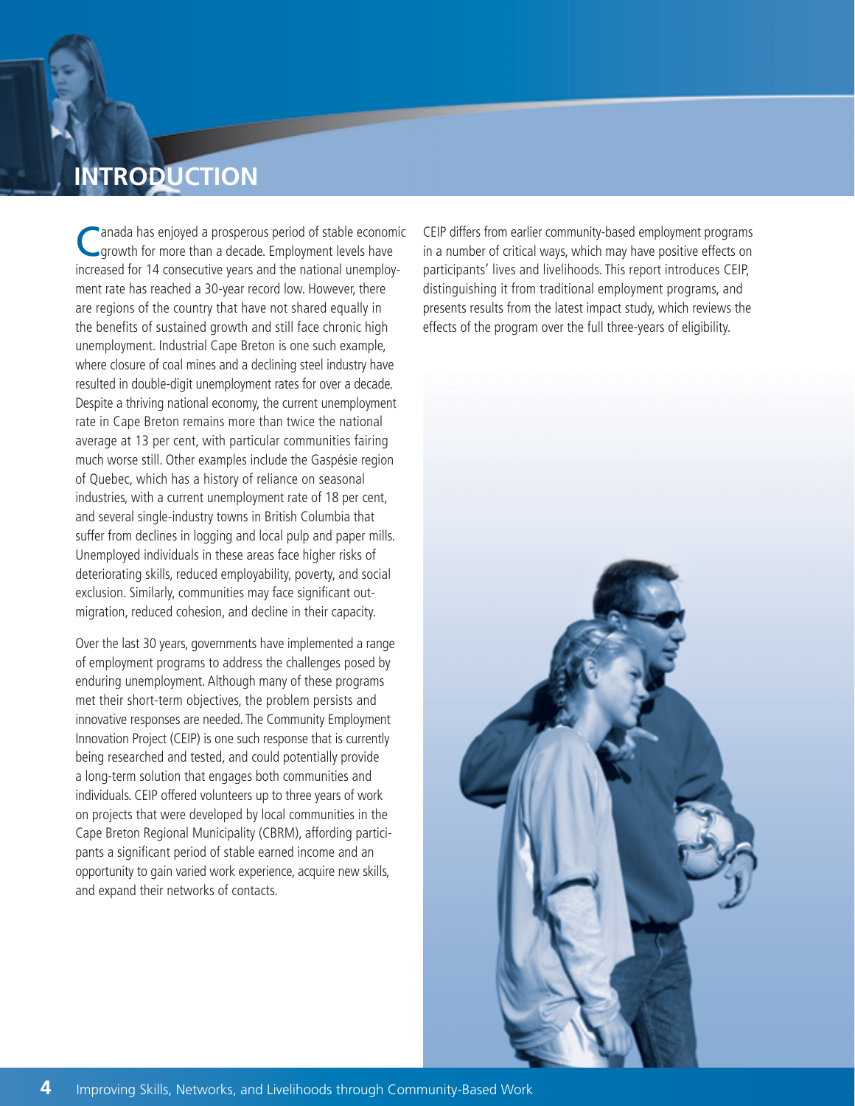## **INTRODUCTION**

Canada has enjoyed a prosperous period of stable economic<br>
growth for more than a decade. Employment levels have increased for 14 consecutive years and the national unemployment rate has reached a 30-year record low. However, there are regions of the country that have not shared equally in the benefits of sustained growth and still face chronic high unemployment. Industrial Cape Breton is one such example, where closure of coal mines and a declining steel industry have resulted in double-digit unemployment rates for over a decade. Despite a thriving national economy, the current unemployment rate in Cape Breton remains more than twice the national average at 13 per cent, with particular communities fairing much worse still. Other examples include the Gaspésie region of Quebec, which has a history of reliance on seasonal industries, with a current unemployment rate of 18 per cent, and several single-industry towns in British Columbia that suffer from declines in logging and local pulp and paper mills. Unemployed individuals in these areas face higher risks of deteriorating skills, reduced employability, poverty, and social exclusion. Similarly, communities may face significant outmigration, reduced cohesion, and decline in their capacity.

Over the last 30 years, governments have implemented a range of employment programs to address the challenges posed by enduring unemployment. Although many of these programs met their short-term objectives, the problem persists and innovative responses are needed. The Community Employment Innovation Project (CEIP) is one such response that is currently being researched and tested, and could potentially provide a long-term solution that engages both communities and individuals. CEIP offered volunteers up to three years of work on projects that were developed by local communities in the Cape Breton Regional Municipality (CBRM), affording participants a significant period of stable earned income and an opportunity to gain varied work experience, acquire new skills, and expand their networks of contacts.

CEIP differs from earlier community-based employment programs in a number of critical ways, which may have positive effects on participants' lives and livelihoods. This report introduces CEIP, distinguishing it from traditional employment programs, and presents results from the latest impact study, which reviews the effects of the program over the full three-years of eligibility.

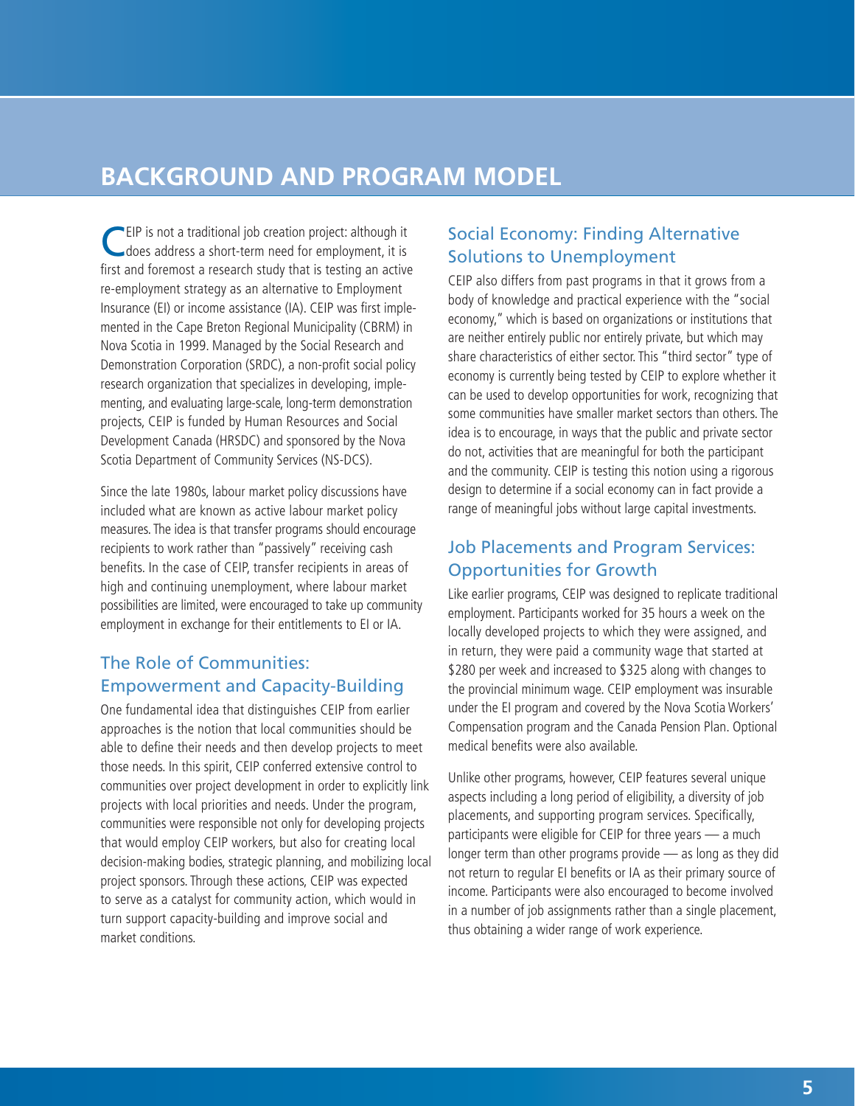### **BACKGROUND AND PROGRAM MODEL**

CEIP is not a traditional job creation project: although it does address a short-term need for employment, it is first and foremost a research study that is testing an active re-employment strategy as an alternative to Employment Insurance (EI) or income assistance (IA). CEIP was first implemented in the Cape Breton Regional Municipality (CBRM) in Nova Scotia in 1999. Managed by the Social Research and Demonstration Corporation (SRDC), a non-profit social policy research organization that specializes in developing, implementing, and evaluating large-scale, long-term demonstration projects, CEIP is funded by Human Resources and Social Development Canada (HRSDC) and sponsored by the Nova Scotia Department of Community Services (NS-DCS).

Since the late 1980s, labour market policy discussions have included what are known as active labour market policy measures. The idea is that transfer programs should encourage recipients to work rather than "passively" receiving cash benefits. In the case of CEIP, transfer recipients in areas of high and continuing unemployment, where labour market possibilities are limited, were encouraged to take up community employment in exchange for their entitlements to EI or IA.

#### The Role of Communities: Empowerment and Capacity-Building

One fundamental idea that distinguishes CEIP from earlier approaches is the notion that local communities should be able to define their needs and then develop projects to meet those needs. In this spirit, CEIP conferred extensive control to communities over project development in order to explicitly link projects with local priorities and needs. Under the program, communities were responsible not only for developing projects that would employ CEIP workers, but also for creating local decision-making bodies, strategic planning, and mobilizing local project sponsors. Through these actions, CEIP was expected to serve as a catalyst for community action, which would in turn support capacity-building and improve social and market conditions.

#### Social Economy: Finding Alternative Solutions to Unemployment

CEIP also differs from past programs in that it grows from a body of knowledge and practical experience with the "social economy," which is based on organizations or institutions that are neither entirely public nor entirely private, but which may share characteristics of either sector. This "third sector" type of economy is currently being tested by CEIP to explore whether it can be used to develop opportunities for work, recognizing that some communities have smaller market sectors than others. The idea is to encourage, in ways that the public and private sector do not, activities that are meaningful for both the participant and the community. CEIP is testing this notion using a rigorous design to determine if a social economy can in fact provide a range of meaningful jobs without large capital investments.

#### Job Placements and Program Services: Opportunities for Growth

Like earlier programs, CEIP was designed to replicate traditional employment. Participants worked for 35 hours a week on the locally developed projects to which they were assigned, and in return, they were paid a community wage that started at \$280 per week and increased to \$325 along with changes to the provincial minimum wage. CEIP employment was insurable under the EI program and covered by the Nova Scotia Workers' Compensation program and the Canada Pension Plan. Optional medical benefits were also available.

Unlike other programs, however, CEIP features several unique aspects including a long period of eligibility, a diversity of job placements, and supporting program services. Specifically, participants were eligible for CEIP for three years — a much longer term than other programs provide — as long as they did not return to regular EI benefits or IA as their primary source of income. Participants were also encouraged to become involved in a number of job assignments rather than a single placement, thus obtaining a wider range of work experience.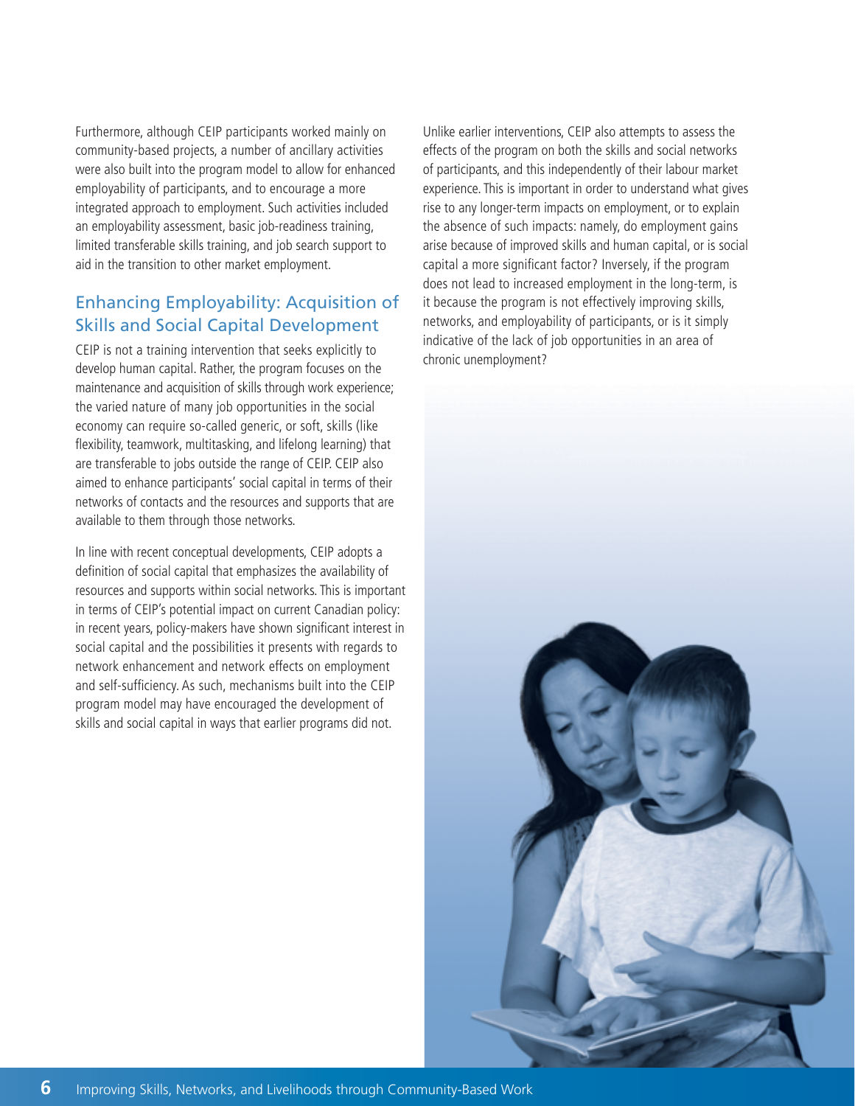Furthermore, although CEIP participants worked mainly on community-based projects, a number of ancillary activities were also built into the program model to allow for enhanced employability of participants, and to encourage a more integrated approach to employment. Such activities included an employability assessment, basic job-readiness training, limited transferable skills training, and job search support to aid in the transition to other market employment.

#### Enhancing Employability: Acquisition of Skills and Social Capital Development

CEIP is not a training intervention that seeks explicitly to develop human capital. Rather, the program focuses on the maintenance and acquisition of skills through work experience; the varied nature of many job opportunities in the social economy can require so-called generic, or soft, skills (like flexibility, teamwork, multitasking, and lifelong learning) that are transferable to jobs outside the range of CEIP. CEIP also aimed to enhance participants' social capital in terms of their networks of contacts and the resources and supports that are available to them through those networks.

In line with recent conceptual developments, CEIP adopts a definition of social capital that emphasizes the availability of resources and supports within social networks. This is important in terms of CEIP's potential impact on current Canadian policy: in recent years, policy-makers have shown significant interest in social capital and the possibilities it presents with regards to network enhancement and network effects on employment and self-sufficiency. As such, mechanisms built into the CEIP program model may have encouraged the development of skills and social capital in ways that earlier programs did not.

Unlike earlier interventions, CEIP also attempts to assess the effects of the program on both the skills and social networks of participants, and this independently of their labour market experience. This is important in order to understand what gives rise to any longer-term impacts on employment, or to explain the absence of such impacts: namely, do employment gains arise because of improved skills and human capital, or is social capital a more significant factor? Inversely, if the program does not lead to increased employment in the long-term, is it because the program is not effectively improving skills, networks, and employability of participants, or is it simply indicative of the lack of job opportunities in an area of chronic unemployment?

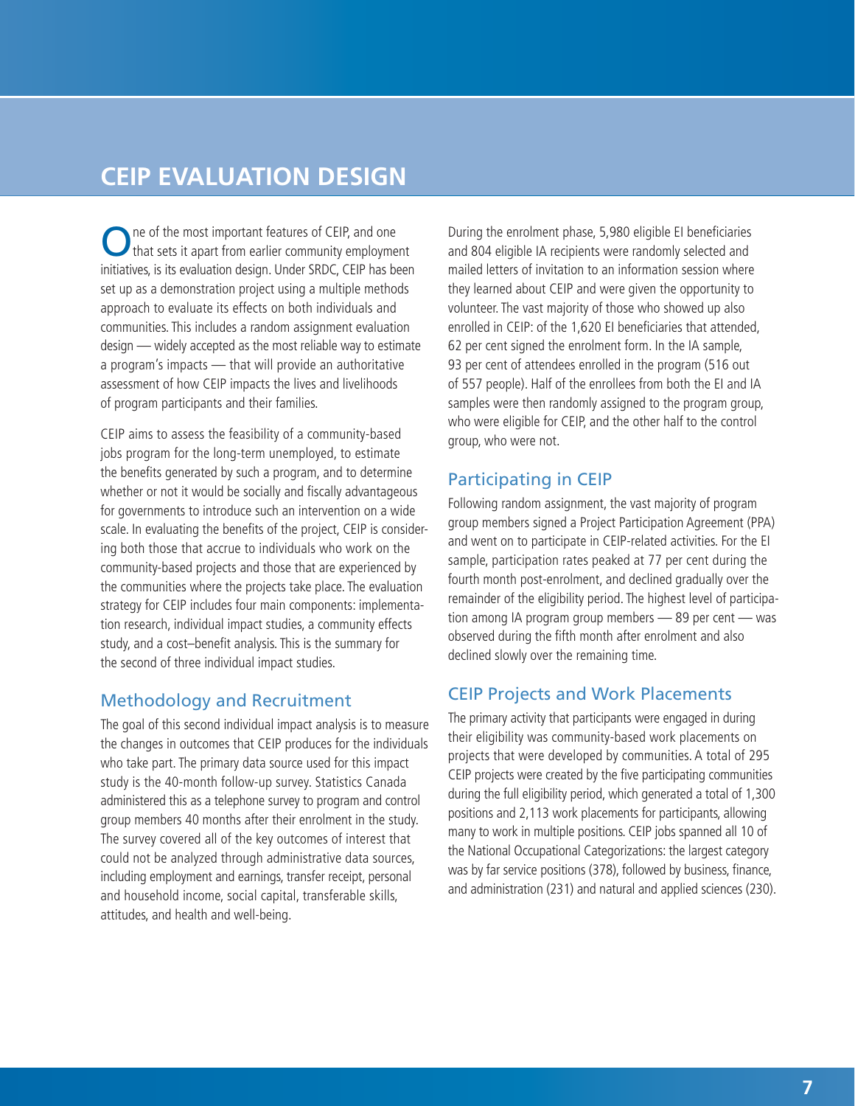### **CEIP EVALUATION DESIGN**

One of the most important features of CEIP, and one that sets it apart from earlier community employment initiatives, is its evaluation design. Under SRDC, CEIP has been set up as a demonstration project using a multiple methods approach to evaluate its effects on both individuals and communities. This includes a random assignment evaluation design — widely accepted as the most reliable way to estimate a program's impacts — that will provide an authoritative assessment of how CEIP impacts the lives and livelihoods of program participants and their families.

CEIP aims to assess the feasibility of a community-based jobs program for the long-term unemployed, to estimate the benefits generated by such a program, and to determine whether or not it would be socially and fiscally advantageous for governments to introduce such an intervention on a wide scale. In evaluating the benefits of the project, CEIP is considering both those that accrue to individuals who work on the community-based projects and those that are experienced by the communities where the projects take place. The evaluation strategy for CEIP includes four main components: implementation research, individual impact studies, a community effects study, and a cost-benefit analysis. This is the summary for the second of three individual impact studies.

#### Methodology and Recruitment

The goal of this second individual impact analysis is to measure the changes in outcomes that CEIP produces for the individuals who take part. The primary data source used for this impact study is the 40-month follow-up survey. Statistics Canada administered this as a telephone survey to program and control group members 40 months after their enrolment in the study. The survey covered all of the key outcomes of interest that could not be analyzed through administrative data sources, including employment and earnings, transfer receipt, personal and household income, social capital, transferable skills, attitudes, and health and well-being.

During the enrolment phase, 5,980 eligible EI beneficiaries and 804 eligible IA recipients were randomly selected and mailed letters of invitation to an information session where they learned about CEIP and were given the opportunity to volunteer. The vast majority of those who showed up also enrolled in CEIP: of the 1,620 EI beneficiaries that attended, 62 per cent signed the enrolment form. In the IA sample, 93 per cent of attendees enrolled in the program (516 out of 557 people). Half of the enrollees from both the EI and IA samples were then randomly assigned to the program group, who were eligible for CEIP, and the other half to the control group, who were not.

#### Participating in CEIP

Following random assignment, the vast majority of program group members signed a Project Participation Agreement (PPA) and went on to participate in CEIP-related activities. For the EI sample, participation rates peaked at 77 per cent during the fourth month post-enrolment, and declined gradually over the remainder of the eligibility period. The highest level of participation among IA program group members — 89 per cent — was observed during the fifth month after enrolment and also declined slowly over the remaining time.

#### CEIP Projects and Work Placements

The primary activity that participants were engaged in during their eligibility was community-based work placements on projects that were developed by communities. A total of 295 CEIP projects were created by the five participating communities during the full eligibility period, which generated a total of 1,300 positions and 2,113 work placements for participants, allowing many to work in multiple positions. CEIP jobs spanned all 10 of the National Occupational Categorizations: the largest category was by far service positions (378), followed by business, finance, and administration (231) and natural and applied sciences (230).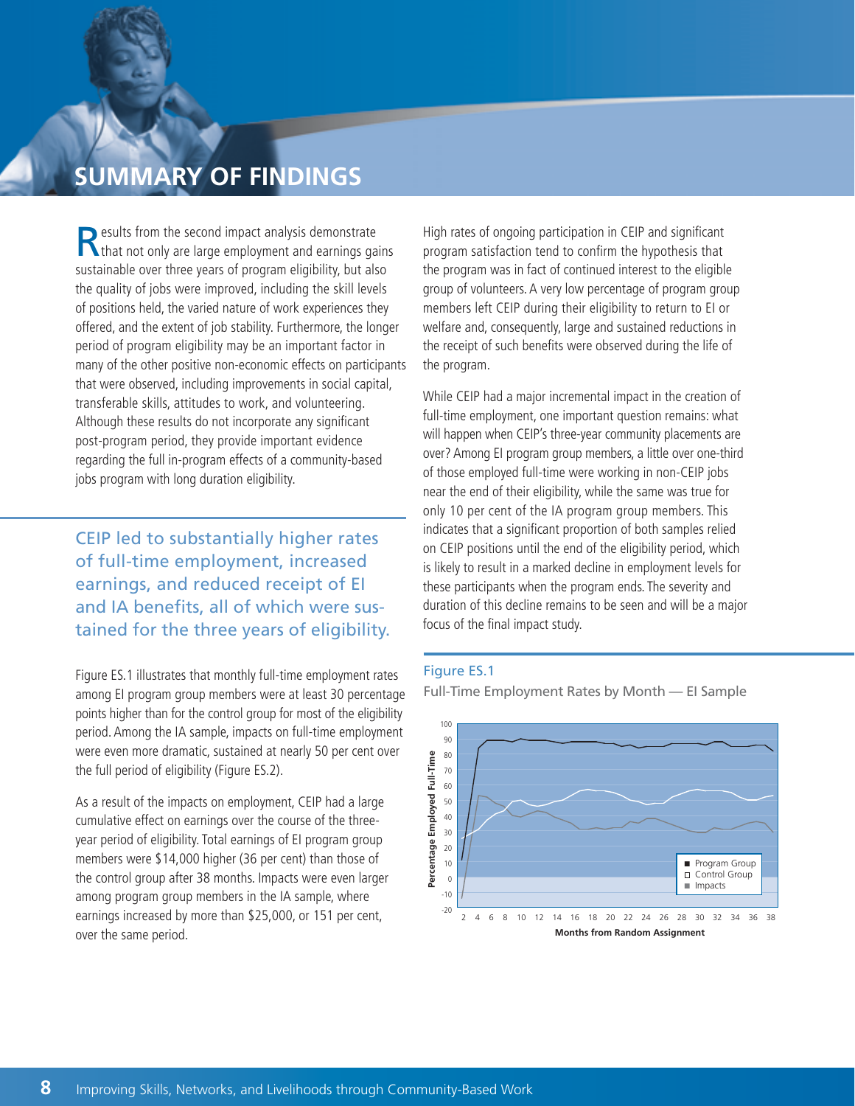## **SUMMARY OF FINDINGS**

Results from the second impact analysis demonstrate<br>that not only are large employment and earnings gains sustainable over three years of program eligibility, but also the quality of jobs were improved, including the skill levels of positions held, the varied nature of work experiences they offered, and the extent of job stability. Furthermore, the longer period of program eligibility may be an important factor in many of the other positive non-economic effects on participants that were observed, including improvements in social capital, transferable skills, attitudes to work, and volunteering. Although these results do not incorporate any significant post-program period, they provide important evidence regarding the full in-program effects of a community-based jobs program with long duration eligibility.

CEIP led to substantially higher rates of full-time employment, increased earnings, and reduced receipt of EI and IA benefits, all of which were sustained for the three years of eligibility.

Figure ES.1 illustrates that monthly full-time employment rates among EI program group members were at least 30 percentage points higher than for the control group for most of the eligibility period. Among the IA sample, impacts on full-time employment were even more dramatic, sustained at nearly 50 per cent over the full period of eligibilit[y \(Figure ES.2\).](#page-10-0) 

As a result of the impacts on employment, CEIP had a large cumulative effect on earnings over the course of the threeyear period of eligibility. Total earnings of EI program group members were \$14,000 higher (36 per cent) than those of the control group after 38 months. Impacts were even larger among program group members in the IA sample, where earnings increased by more than \$25,000, or 151 per cent, over the same period.

High rates of ongoing participation in CEIP and significant program satisfaction tend to confirm the hypothesis that the program was in fact of continued interest to the eligible group of volunteers. A very low percentage of program group members left CEIP during their eligibility to return to EI or welfare and, consequently, large and sustained reductions in the receipt of such benefits were observed during the life of the program.

While CEIP had a major incremental impact in the creation of full-time employment, one important question remains: what will happen when CEIP's three-year community placements are over? Among EI program group members, a little over one-third of those employed full-time were working in non-CEIP jobs near the end of their eligibility, while the same was true for only 10 per cent of the IA program group members. This indicates that a significant proportion of both samples relied on CEIP positions until the end of the eligibility period, which is likely to result in a marked decline in employment levels for these participants when the program ends. The severity and duration of this decline remains to be seen and will be a major focus of the final impact study.

#### Figure ES.1

Full-Time Employment Rates by Month — EI Sample

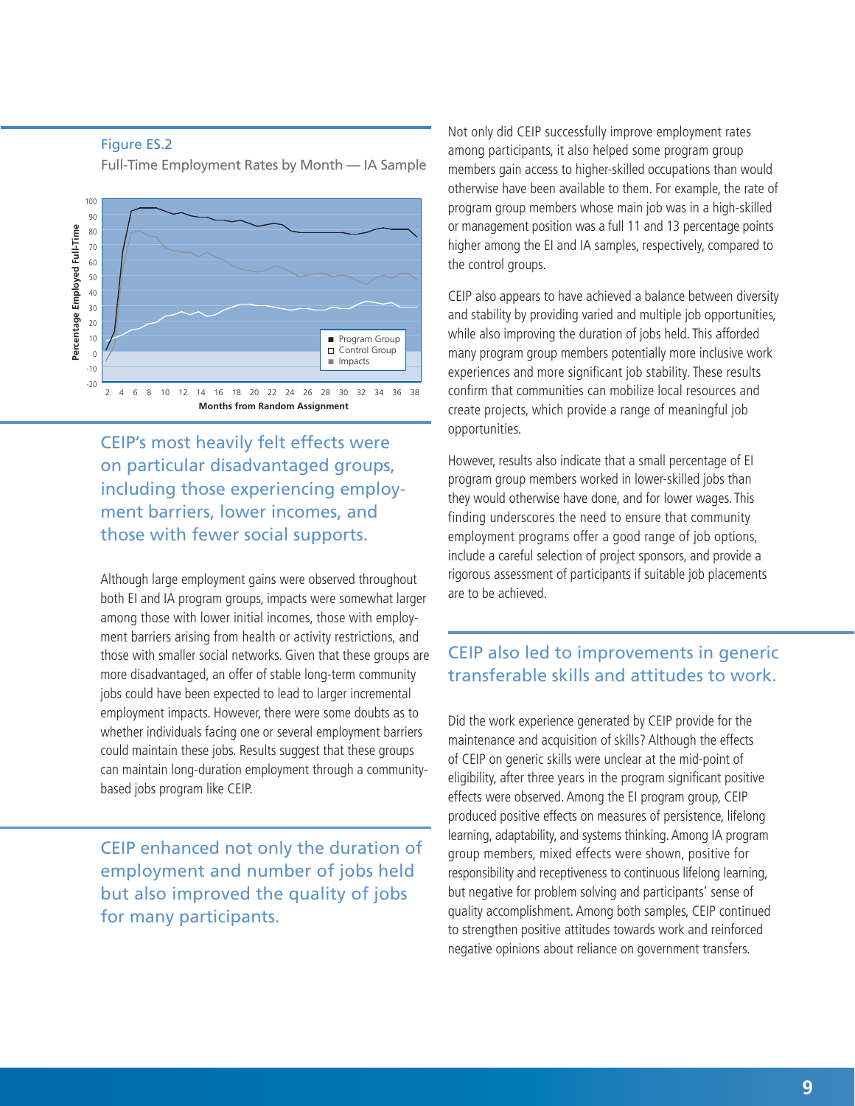#### <span id="page-10-0"></span>Figure ES.2

Full-Time Employment Rates by Month — IA Sample



CEIP's most heavily felt effects were on particular disadvantaged groups, including those experiencing employment barriers, lower incomes, and those with fewer social supports.

Although large employment gains were observed throughout both EI and IA program groups, impacts were somewhat larger among those with lower initial incomes, those with employment barriers arising from health or activity restrictions, and those with smaller social networks. Given that these groups are more disadvantaged, an offer of stable long-term community jobs could have been expected to lead to larger incremental employment impacts. However, there were some doubts as to whether individuals facing one or several employment barriers could maintain these jobs. Results suggest that these groups can maintain long-duration employment through a communitybased jobs program like CEIP.

CEIP enhanced not only the duration of employment and number of jobs held but also improved the quality of jobs for many participants.

Not only did CEIP successfully improve employment rates among participants, it also helped some program group members gain access to higher-skilled occupations than would otherwise have been available to them. For example, the rate of program group members whose main job was in a high-skilled or management position was a full 11 and 13 percentage points higher among the EI and IA samples, respectively, compared to the control groups.

CEIP also appears to have achieved a balance between diversity and stability by providing varied and multiple job opportunities, while also improving the duration of jobs held. This afforded many program group members potentially more inclusive work experiences and more significant job stability. These results confirm that communities can mobilize local resources and create projects, which provide a range of meaningful job opportunities.

However, results also indicate that a small percentage of EI program group members worked in lower-skilled jobs than they would otherwise have done, and for lower wages. This finding underscores the need to ensure that community employment programs offer a good range of job options, include a careful selection of project sponsors, and provide a rigorous assessment of participants if suitable job placements are to be achieved.

#### CEIP also led to improvements in generic transferable skills and attitudes to work.

Did the work experience generated by CEIP provide for the maintenance and acquisition of skills? Although the effects of CEIP on generic skills were unclear at the mid-point of eligibility, after three years in the program significant positive effects were observed. Among the EI program group, CEIP produced positive effects on measures of persistence, lifelong learning, adaptability, and systems thinking. Among IA program group members, mixed effects were shown, positive for responsibility and receptiveness to continuous lifelong learning, but negative for problem solving and participants' sense of quality accomplishment. Among both samples, CEIP continued to strengthen positive attitudes towards work and reinforced negative opinions about reliance on government transfers.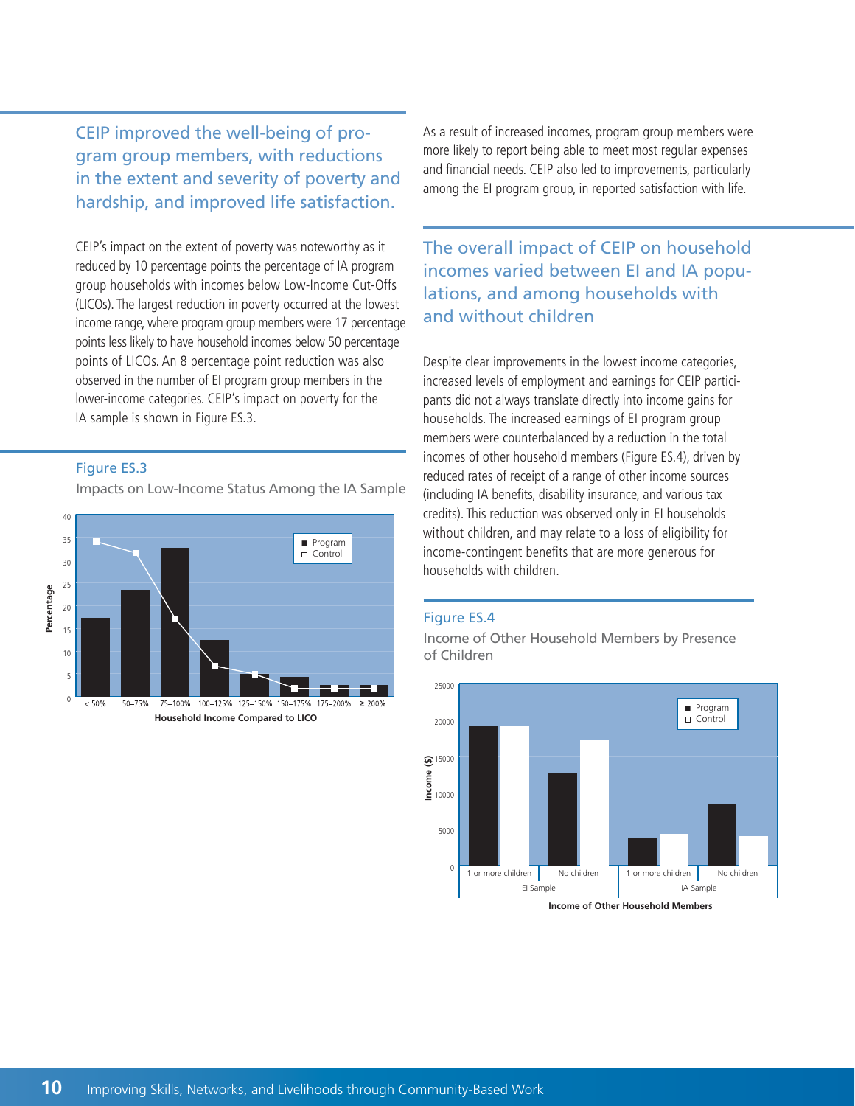#### CEIP improved the well-being of program group members, with reductions in the extent and severity of poverty and hardship, and improved life satisfaction.

CEIP's impact on the extent of poverty was noteworthy as it reduced by 10 percentage points the percentage of IA program group households with incomes below Low-Income Cut-Offs (LICOs). The largest reduction in poverty occurred at the lowest income range, where program group members were 17 percentage points less likely to have household incomes below 50 percentage points of LICOs. An 8 percentage point reduction was also observed in the number of EI program group members in the lower-income categories. CEIP's impact on poverty for the IA sample is shown in Figure ES.3.

#### Figure ES.3

Impacts on Low-Income Status Among the IA Sample



As a result of increased incomes, program group members were more likely to report being able to meet most regular expenses and financial needs. CEIP also led to improvements, particularly among the EI program group, in reported satisfaction with life.

The overall impact of CEIP on household incomes varied between EI and IA populations, and among households with and without children

Despite clear improvements in the lowest income categories, increased levels of employment and earnings for CEIP participants did not always translate directly into income gains for households. The increased earnings of EI program group members were counterbalanced by a reduction in the total incomes of other household members (Figure ES.4), driven by reduced rates of receipt of a range of other income sources (including IA benefits, disability insurance, and various tax credits). This reduction was observed only in EI households without children, and may relate to a loss of eligibility for income-contingent benefits that are more generous for households with children.

#### Figure ES.4

Income of Other Household Members by Presence of Children

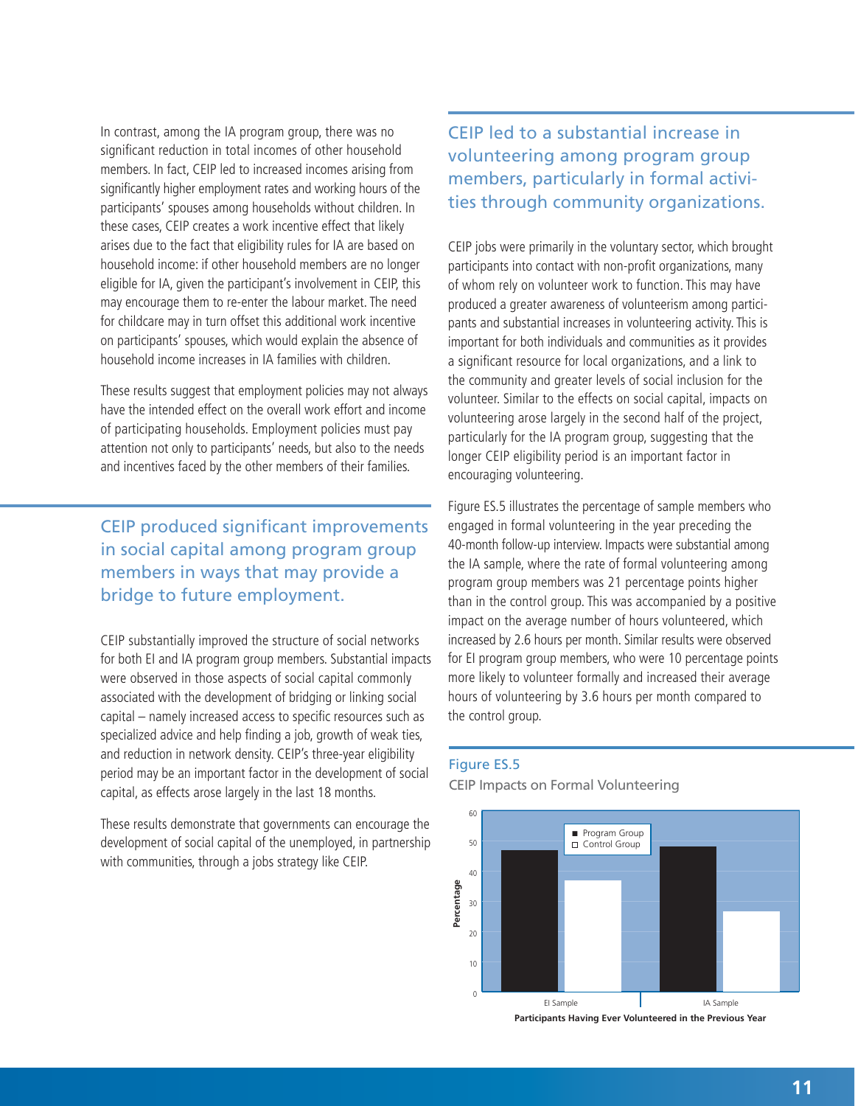In contrast, among the IA program group, there was no significant reduction in total incomes of other household members. In fact, CEIP led to increased incomes arising from significantly higher employment rates and working hours of the participants' spouses among households without children. In these cases, CEIP creates a work incentive effect that likely arises due to the fact that eligibility rules for IA are based on household income: if other household members are no longer eligible for IA, given the participant's involvement in CEIP, this may encourage them to re-enter the labour market. The need for childcare may in turn offset this additional work incentive on participants' spouses, which would explain the absence of household income increases in IA families with children.

These results suggest that employment policies may not always have the intended effect on the overall work effort and income of participating households. Employment policies must pay attention not only to participants' needs, but also to the needs and incentives faced by the other members of their families.

CEIP produced significant improvements in social capital among program group members in ways that may provide a bridge to future employment.

CEIP substantially improved the structure of social networks for both EI and IA program group members. Substantial impacts were observed in those aspects of social capital commonly associated with the development of bridging or linking social capital – namely increased access to specific resources such as specialized advice and help finding a job, growth of weak ties, and reduction in network density. CEIP's three-year eligibility period may be an important factor in the development of social capital, as effects arose largely in the last 18 months.

These results demonstrate that governments can encourage the development of social capital of the unemployed, in partnership with communities, through a jobs strategy like CEIP.

CEIP led to a substantial increase in volunteering among program group members, particularly in formal activities through community organizations.

CEIP jobs were primarily in the voluntary sector, which brought participants into contact with non-profit organizations, many of whom rely on volunteer work to function. This may have produced a greater awareness of volunteerism among participants and substantial increases in volunteering activity. This is important for both individuals and communities as it provides a significant resource for local organizations, and a link to the community and greater levels of social inclusion for the volunteer. Similar to the effects on social capital, impacts on volunteering arose largely in the second half of the project, particularly for the IA program group, suggesting that the longer CEIP eligibility period is an important factor in encouraging volunteering.

Figure ES.5 illustrates the percentage of sample members who engaged in formal volunteering in the year preceding the 40-month follow-up interview. Impacts were substantial among the IA sample, where the rate of formal volunteering among program group members was 21 percentage points higher than in the control group. This was accompanied by a positive impact on the average number of hours volunteered, which increased by 2.6 hours per month. Similar results were observed for EI program group members, who were 10 percentage points more likely to volunteer formally and increased their average hours of volunteering by 3.6 hours per month compared to the control group.

#### Figure ES.5

60 ■ **Program Group** 50 Control Group 40 Percentage **Percentage** 30 20 10  $\theta$ EI Sample **I** and IA Sample

CEIP Impacts on Formal Volunteering

**Participants Having Ever Volunteered in the Previous Year**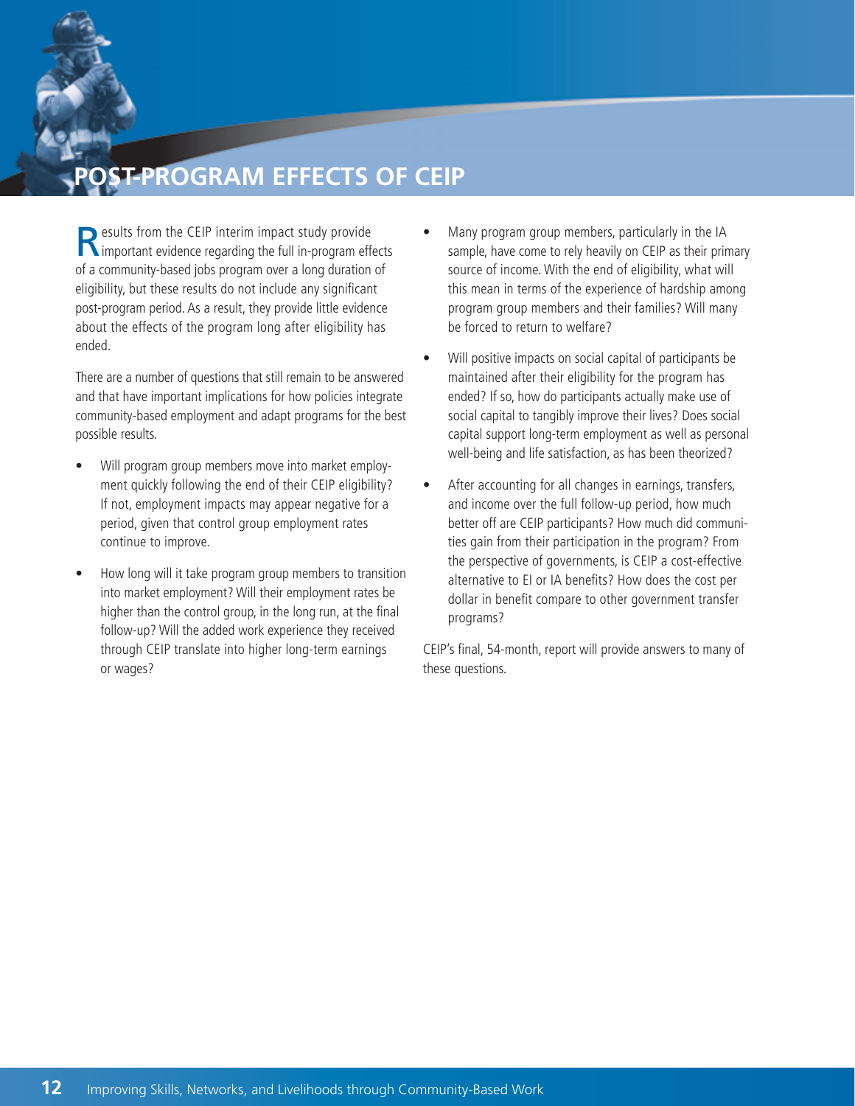

Results from the CEIP interim impact study provide<br>
important evidence regarding the full in-program effects of a community-based jobs program over a long duration of eligibility, but these results do not include any significant post-program period. As a result, they provide little evidence about the effects of the program long after eligibility has ended.

There are a number of questions that still remain to be answered and that have important implications for how policies integrate community-based employment and adapt programs for the best possible results.

- Will program group members move into market employment quickly following the end of their CEIP eligibility? If not, employment impacts may appear negative for a period, given that control group employment rates continue to improve.
- How long will it take program group members to transition into market employment? Will their employment rates be higher than the control group, in the long run, at the final follow-up? Will the added work experience they received through CEIP translate into higher long-term earnings or wages?
- Many program group members, particularly in the IA sample, have come to rely heavily on CEIP as their primary source of income. With the end of eligibility, what will this mean in terms of the experience of hardship among program group members and their families? Will many be forced to return to welfare?
- Will positive impacts on social capital of participants be maintained after their eligibility for the program has ended? If so, how do participants actually make use of social capital to tangibly improve their lives? Does social capital support long-term employment as well as personal well-being and life satisfaction, as has been theorized?
- After accounting for all changes in earnings, transfers, and income over the full follow-up period, how much better off are CEIP participants? How much did communities gain from their participation in the program? From the perspective of governments, is CEIP a cost-effective alternative to EI or IA benefits? How does the cost per dollar in benefit compare to other government transfer programs?

CEIP's final, 54-month, report will provide answers to many of these questions.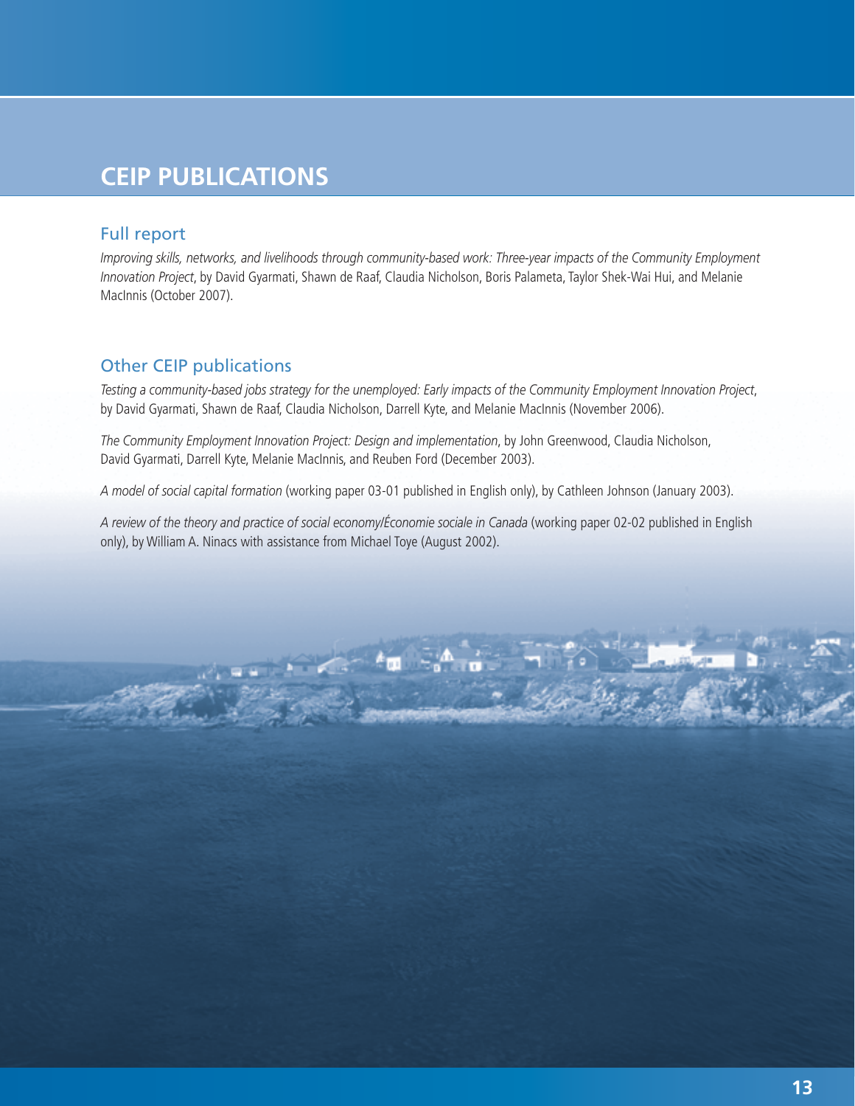### **CEIP PUBLICATIONS**

#### Full report

*Improving skills, networks, and livelihoods through community-based work: Three-year impacts of the Community Employment Innovation Project*, by David Gyarmati, Shawn de Raaf, Claudia Nicholson, Boris Palameta, Taylor Shek-Wai Hui, and Melanie MacInnis (October 2007).

#### Other CEIP publications

*Testing a community-based jobs strategy for the unemployed: Early impacts of the Community Employment Innovation Project*, by David Gyarmati, Shawn de Raaf, Claudia Nicholson, Darrell Kyte, and Melanie MacInnis (November 2006).

*The Community Employment Innovation Project: Design and implementation*, by John Greenwood, Claudia Nicholson, David Gyarmati, Darrell Kyte, Melanie MacInnis, and Reuben Ford (December 2003).

*A model of social capital formation* (working paper 03-01 published in English only), by Cathleen Johnson (January 2003).

*A review of the theory and practice of social economy/Économie sociale in Canada* (working paper 02-02 published in English only), by William A. Ninacs with assistance from Michael Toye (August 2002).